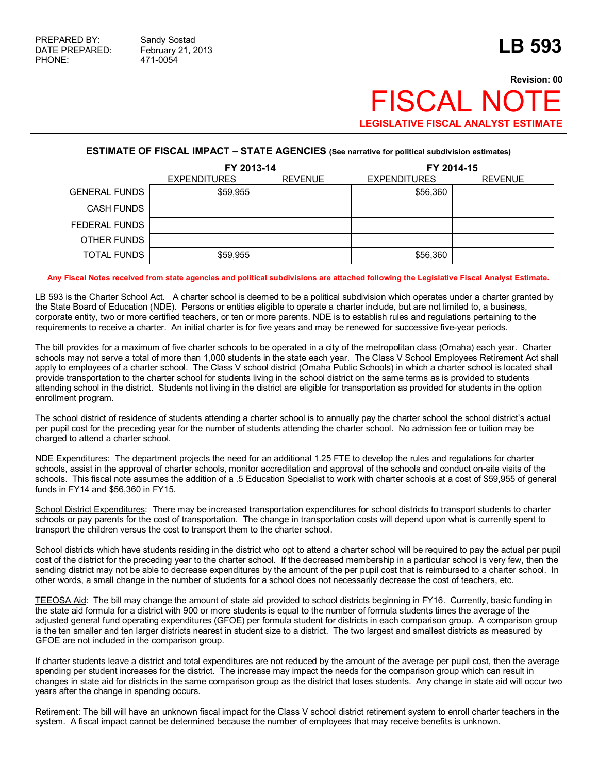## **Revision: 00** FISCAL NOT **LEGISLATIVE FISCAL ANALYST ESTIMATE**

| <b>ESTIMATE OF FISCAL IMPACT - STATE AGENCIES</b> (See narrative for political subdivision estimates) |                     |                |                     |                |  |  |  |  |
|-------------------------------------------------------------------------------------------------------|---------------------|----------------|---------------------|----------------|--|--|--|--|
|                                                                                                       | FY 2013-14          |                | FY 2014-15          |                |  |  |  |  |
|                                                                                                       | <b>EXPENDITURES</b> | <b>REVENUE</b> | <b>EXPENDITURES</b> | <b>REVENUE</b> |  |  |  |  |
| <b>GENERAL FUNDS</b>                                                                                  | \$59,955            |                | \$56,360            |                |  |  |  |  |
| CASH FUNDS                                                                                            |                     |                |                     |                |  |  |  |  |
| FEDERAL FUNDS                                                                                         |                     |                |                     |                |  |  |  |  |
| OTHER FUNDS                                                                                           |                     |                |                     |                |  |  |  |  |
| TOTAL FUNDS                                                                                           | \$59,955            |                | \$56,360            |                |  |  |  |  |

## **Any Fiscal Notes received from state agencies and political subdivisions are attached following the Legislative Fiscal Analyst Estimate.**

LB 593 is the Charter School Act. A charter school is deemed to be a political subdivision which operates under a charter granted by the State Board of Education (NDE). Persons or entities eligible to operate a charter include, but are not limited to, a business, corporate entity, two or more certified teachers, or ten or more parents. NDE is to establish rules and regulations pertaining to the requirements to receive a charter. An initial charter is for five years and may be renewed for successive five-year periods.

The bill provides for a maximum of five charter schools to be operated in a city of the metropolitan class (Omaha) each year. Charter schools may not serve a total of more than 1,000 students in the state each year. The Class V School Employees Retirement Act shall apply to employees of a charter school. The Class V school district (Omaha Public Schools) in which a charter school is located shall provide transportation to the charter school for students living in the school district on the same terms as is provided to students attending school in the district. Students not living in the district are eligible for transportation as provided for students in the option enrollment program.

The school district of residence of students attending a charter school is to annually pay the charter school the school district's actual per pupil cost for the preceding year for the number of students attending the charter school. No admission fee or tuition may be charged to attend a charter school.

NDE Expenditures: The department projects the need for an additional 1.25 FTE to develop the rules and regulations for charter schools, assist in the approval of charter schools, monitor accreditation and approval of the schools and conduct on-site visits of the schools. This fiscal note assumes the addition of a .5 Education Specialist to work with charter schools at a cost of \$59,955 of general funds in FY14 and \$56,360 in FY15.

School District Expenditures: There may be increased transportation expenditures for school districts to transport students to charter schools or pay parents for the cost of transportation. The change in transportation costs will depend upon what is currently spent to transport the children versus the cost to transport them to the charter school.

School districts which have students residing in the district who opt to attend a charter school will be required to pay the actual per pupil cost of the district for the preceding year to the charter school. If the decreased membership in a particular school is very few, then the sending district may not be able to decrease expenditures by the amount of the per pupil cost that is reimbursed to a charter school. In other words, a small change in the number of students for a school does not necessarily decrease the cost of teachers, etc.

TEEOSA Aid: The bill may change the amount of state aid provided to school districts beginning in FY16. Currently, basic funding in the state aid formula for a district with 900 or more students is equal to the number of formula students times the average of the adjusted general fund operating expenditures (GFOE) per formula student for districts in each comparison group. A comparison group is the ten smaller and ten larger districts nearest in student size to a district. The two largest and smallest districts as measured by GFOE are not included in the comparison group.

If charter students leave a district and total expenditures are not reduced by the amount of the average per pupil cost, then the average spending per student increases for the district. The increase may impact the needs for the comparison group which can result in changes in state aid for districts in the same comparison group as the district that loses students. Any change in state aid will occur two years after the change in spending occurs.

Retirement: The bill will have an unknown fiscal impact for the Class V school district retirement system to enroll charter teachers in the system. A fiscal impact cannot be determined because the number of employees that may receive benefits is unknown.